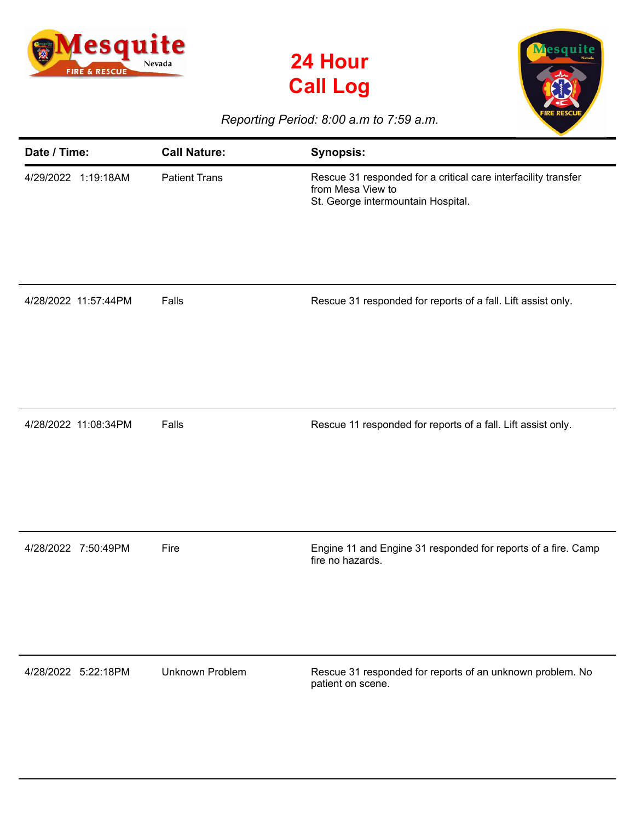





## *Reporting Period: 8:00 a.m to 7:59 a.m.*

| Date / Time:         | <b>Call Nature:</b>  | <b>Synopsis:</b>                                                                                                          |
|----------------------|----------------------|---------------------------------------------------------------------------------------------------------------------------|
| 4/29/2022 1:19:18AM  | <b>Patient Trans</b> | Rescue 31 responded for a critical care interfacility transfer<br>from Mesa View to<br>St. George intermountain Hospital. |
| 4/28/2022 11:57:44PM | Falls                | Rescue 31 responded for reports of a fall. Lift assist only.                                                              |
| 4/28/2022 11:08:34PM | Falls                | Rescue 11 responded for reports of a fall. Lift assist only.                                                              |
| 4/28/2022 7:50:49PM  | Fire                 | Engine 11 and Engine 31 responded for reports of a fire. Camp<br>fire no hazards.                                         |
| 4/28/2022 5:22:18PM  | Unknown Problem      | Rescue 31 responded for reports of an unknown problem. No<br>patient on scene.                                            |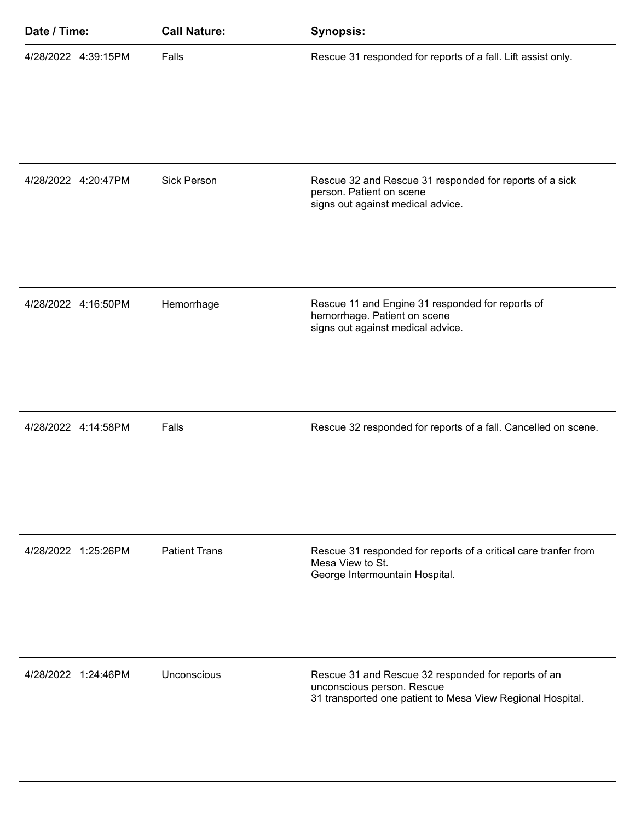| Date / Time:        | <b>Call Nature:</b>  | <b>Synopsis:</b>                                                                                                                                |
|---------------------|----------------------|-------------------------------------------------------------------------------------------------------------------------------------------------|
| 4/28/2022 4:39:15PM | Falls                | Rescue 31 responded for reports of a fall. Lift assist only.                                                                                    |
| 4/28/2022 4:20:47PM | <b>Sick Person</b>   | Rescue 32 and Rescue 31 responded for reports of a sick<br>person. Patient on scene<br>signs out against medical advice.                        |
| 4/28/2022 4:16:50PM | Hemorrhage           | Rescue 11 and Engine 31 responded for reports of<br>hemorrhage. Patient on scene<br>signs out against medical advice.                           |
| 4/28/2022 4:14:58PM | Falls                | Rescue 32 responded for reports of a fall. Cancelled on scene.                                                                                  |
| 4/28/2022 1:25:26PM | <b>Patient Trans</b> | Rescue 31 responded for reports of a critical care tranfer from<br>Mesa View to St.<br>George Intermountain Hospital.                           |
| 4/28/2022 1:24:46PM | Unconscious          | Rescue 31 and Rescue 32 responded for reports of an<br>unconscious person. Rescue<br>31 transported one patient to Mesa View Regional Hospital. |